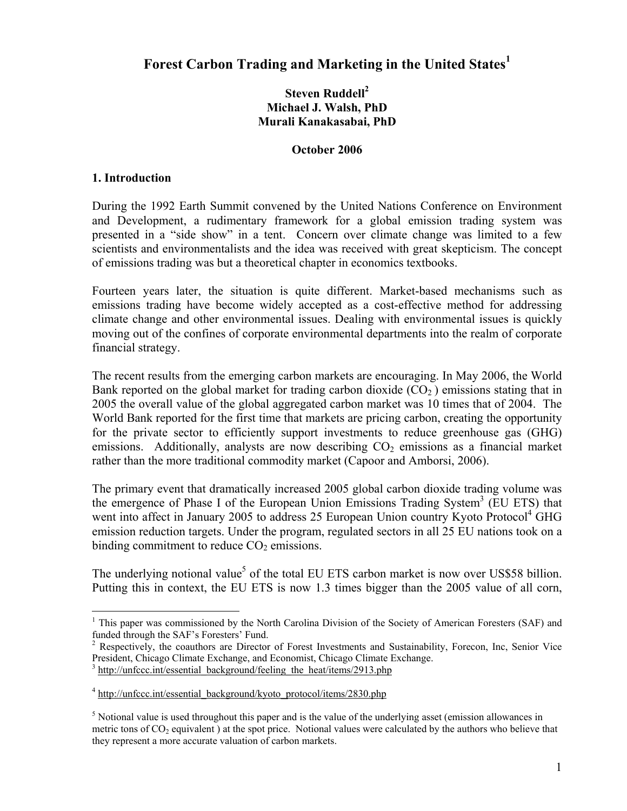### **Steven Ruddell<sup>2</sup> Michael J. Walsh, PhD Murali Kanakasabai, PhD**

## **October 2006**

## **1. Introduction**

 $\overline{a}$ 

During the 1992 Earth Summit convened by the United Nations Conference on Environment and Development, a rudimentary framework for a global emission trading system was presented in a "side show" in a tent. Concern over climate change was limited to a few scientists and environmentalists and the idea was received with great skepticism. The concept of emissions trading was but a theoretical chapter in economics textbooks.

Fourteen years later, the situation is quite different. Market-based mechanisms such as emissions trading have become widely accepted as a cost-effective method for addressing climate change and other environmental issues. Dealing with environmental issues is quickly moving out of the confines of corporate environmental departments into the realm of corporate financial strategy.

The recent results from the emerging carbon markets are encouraging. In May 2006, the World Bank reported on the global market for trading carbon dioxide  $(CO<sub>2</sub>)$  emissions stating that in 2005 the overall value of the global aggregated carbon market was 10 times that of 2004. The World Bank reported for the first time that markets are pricing carbon, creating the opportunity for the private sector to efficiently support investments to reduce greenhouse gas (GHG) emissions. Additionally, analysts are now describing  $CO<sub>2</sub>$  emissions as a financial market rather than the more traditional commodity market (Capoor and Amborsi, 2006).

The primary event that dramatically increased 2005 global carbon dioxide trading volume was the emergence of Phase I of the European Union Emissions Trading System<sup>3</sup> (EU ETS) that went into affect in January 2005 to address 25 European Union country Kyoto Protocol<sup>4</sup> GHG emission reduction targets. Under the program, regulated sectors in all 25 EU nations took on a binding commitment to reduce  $CO<sub>2</sub>$  emissions.

The underlying notional value<sup>5</sup> of the total EU ETS carbon market is now over US\$58 billion. Putting this in context, the EU ETS is now 1.3 times bigger than the 2005 value of all corn,

<sup>&</sup>lt;sup>1</sup> This paper was commissioned by the North Carolina Division of the Society of American Foresters (SAF) and funded through the SAF's Foresters' Fund.

<sup>&</sup>lt;sup>2</sup> Respectively, the coauthors are Director of Forest Investments and Sustainability, Forecon, Inc, Senior Vice President, Chicago Climate Exchange, and Economist, Chicago Climate Exchange.

 $h<sup>3</sup>$  http://unfccc.int/essential\_background/feeling\_the\_heat/items/2913.php

<sup>&</sup>lt;sup>4</sup> http://unfccc.int/essential\_background/kyoto\_protocol/items/2830.php

 $<sup>5</sup>$  Notional value is used throughout this paper and is the value of the underlying asset (emission allowances in</sup> metric tons of  $CO<sub>2</sub>$  equivalent) at the spot price. Notional values were calculated by the authors who believe that they represent a more accurate valuation of carbon markets.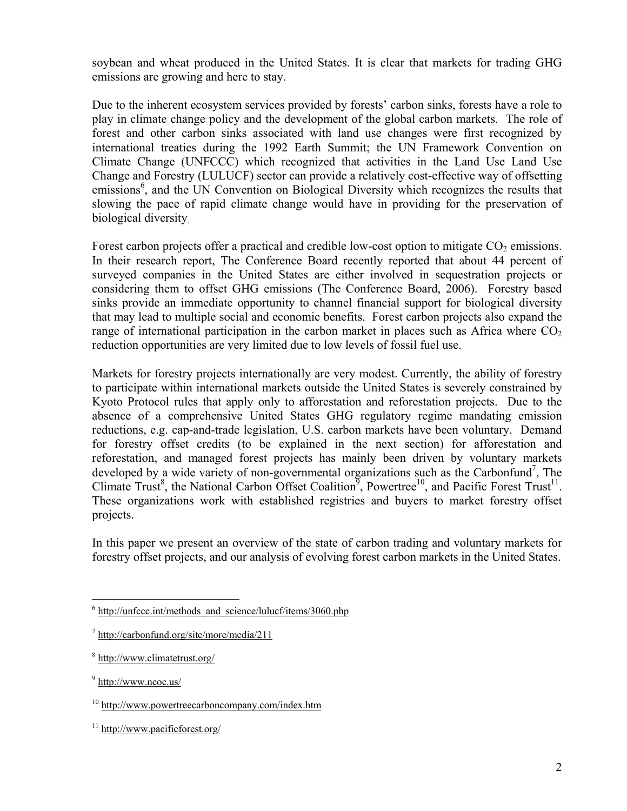soybean and wheat produced in the United States. It is clear that markets for trading GHG emissions are growing and here to stay.

Due to the inherent ecosystem services provided by forests' carbon sinks, forests have a role to play in climate change policy and the development of the global carbon markets. The role of forest and other carbon sinks associated with land use changes were first recognized by international treaties during the 1992 Earth Summit; the UN Framework Convention on Climate Change (UNFCCC) which recognized that activities in the Land Use Land Use Change and Forestry (LULUCF) sector can provide a relatively cost-effective way of offsetting emissions<sup>6</sup>, and the UN Convention on Biological Diversity which recognizes the results that slowing the pace of rapid climate change would have in providing for the preservation of biological diversity.

Forest carbon projects offer a practical and credible low-cost option to mitigate  $CO<sub>2</sub>$  emissions. In their research report, The Conference Board recently reported that about 44 percent of surveyed companies in the United States are either involved in sequestration projects or considering them to offset GHG emissions (The Conference Board, 2006). Forestry based sinks provide an immediate opportunity to channel financial support for biological diversity that may lead to multiple social and economic benefits. Forest carbon projects also expand the range of international participation in the carbon market in places such as Africa where  $CO<sub>2</sub>$ reduction opportunities are very limited due to low levels of fossil fuel use.

Markets for forestry projects internationally are very modest. Currently, the ability of forestry to participate within international markets outside the United States is severely constrained by Kyoto Protocol rules that apply only to afforestation and reforestation projects. Due to the absence of a comprehensive United States GHG regulatory regime mandating emission reductions, e.g. cap-and-trade legislation, U.S. carbon markets have been voluntary. Demand for forestry offset credits (to be explained in the next section) for afforestation and reforestation, and managed forest projects has mainly been driven by voluntary markets developed by a wide variety of non-governmental organizations such as the Carbonfund<sup>7</sup>, The Climate Trust<sup>8</sup>, the National Carbon Offset Coalition<sup>9</sup>, Powertree<sup>10</sup>, and Pacific Forest Trust<sup>11</sup>. These organizations work with established registries and buyers to market forestry offset projects.

In this paper we present an overview of the state of carbon trading and voluntary markets for forestry offset projects, and our analysis of evolving forest carbon markets in the United States.

<sup>&</sup>lt;sup>6</sup> http://unfccc.int/methods and science/lulucf/items/3060.php

<sup>7</sup> http://carbonfund.org/site/more/media/211

<sup>8</sup> http://www.climatetrust.org/

<sup>&</sup>lt;sup>9</sup> http://www.ncoc.us/

<sup>10</sup> http://www.powertreecarboncompany.com/index.htm

<sup>11</sup> http://www.pacificforest.org/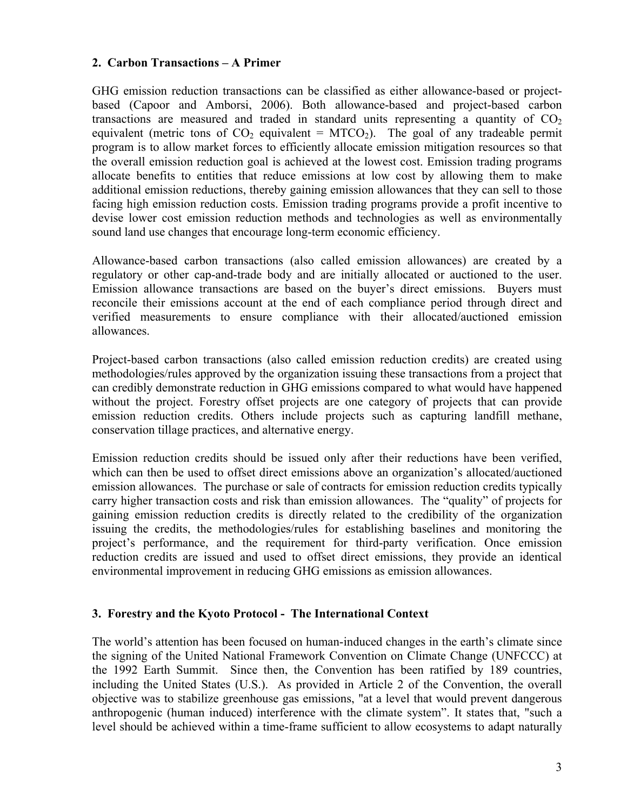### **2. Carbon Transactions – A Primer**

GHG emission reduction transactions can be classified as either allowance-based or projectbased (Capoor and Amborsi, 2006). Both allowance-based and project-based carbon transactions are measured and traded in standard units representing a quantity of  $CO<sub>2</sub>$ equivalent (metric tons of  $CO<sub>2</sub>$  equivalent = MTCO<sub>2</sub>). The goal of any tradeable permit program is to allow market forces to efficiently allocate emission mitigation resources so that the overall emission reduction goal is achieved at the lowest cost. Emission trading programs allocate benefits to entities that reduce emissions at low cost by allowing them to make additional emission reductions, thereby gaining emission allowances that they can sell to those facing high emission reduction costs. Emission trading programs provide a profit incentive to devise lower cost emission reduction methods and technologies as well as environmentally sound land use changes that encourage long-term economic efficiency.

Allowance-based carbon transactions (also called emission allowances) are created by a regulatory or other cap-and-trade body and are initially allocated or auctioned to the user. Emission allowance transactions are based on the buyer's direct emissions. Buyers must reconcile their emissions account at the end of each compliance period through direct and verified measurements to ensure compliance with their allocated/auctioned emission allowances.

Project-based carbon transactions (also called emission reduction credits) are created using methodologies/rules approved by the organization issuing these transactions from a project that can credibly demonstrate reduction in GHG emissions compared to what would have happened without the project. Forestry offset projects are one category of projects that can provide emission reduction credits. Others include projects such as capturing landfill methane, conservation tillage practices, and alternative energy.

Emission reduction credits should be issued only after their reductions have been verified, which can then be used to offset direct emissions above an organization's allocated/auctioned emission allowances. The purchase or sale of contracts for emission reduction credits typically carry higher transaction costs and risk than emission allowances. The "quality" of projects for gaining emission reduction credits is directly related to the credibility of the organization issuing the credits, the methodologies/rules for establishing baselines and monitoring the project's performance, and the requirement for third-party verification. Once emission reduction credits are issued and used to offset direct emissions, they provide an identical environmental improvement in reducing GHG emissions as emission allowances.

### **3. Forestry and the Kyoto Protocol - The International Context**

The world's attention has been focused on human-induced changes in the earth's climate since the signing of the United National Framework Convention on Climate Change (UNFCCC) at the 1992 Earth Summit. Since then, the Convention has been ratified by 189 countries, including the United States (U.S.). As provided in Article 2 of the Convention, the overall objective was to stabilize greenhouse gas emissions, "at a level that would prevent dangerous anthropogenic (human induced) interference with the climate system". It states that, "such a level should be achieved within a time-frame sufficient to allow ecosystems to adapt naturally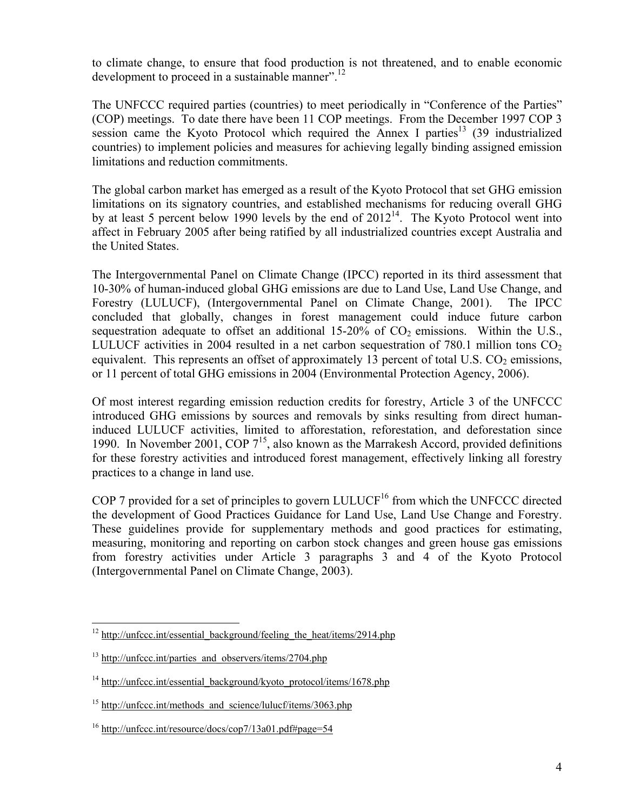to climate change, to ensure that food production is not threatened, and to enable economic development to proceed in a sustainable manner".<sup>12</sup>

The UNFCCC required parties (countries) to meet periodically in "Conference of the Parties" (COP) meetings. To date there have been 11 COP meetings. From the December 1997 COP 3 session came the Kyoto Protocol which required the Annex I parties<sup>13</sup> (39 industrialized countries) to implement policies and measures for achieving legally binding assigned emission limitations and reduction commitments.

The global carbon market has emerged as a result of the Kyoto Protocol that set GHG emission limitations on its signatory countries, and established mechanisms for reducing overall GHG by at least 5 percent below 1990 levels by the end of  $2012<sup>14</sup>$ . The Kyoto Protocol went into affect in February 2005 after being ratified by all industrialized countries except Australia and the United States.

The Intergovernmental Panel on Climate Change (IPCC) reported in its third assessment that 10-30% of human-induced global GHG emissions are due to Land Use, Land Use Change, and Forestry (LULUCF), (Intergovernmental Panel on Climate Change, 2001). The IPCC concluded that globally, changes in forest management could induce future carbon sequestration adequate to offset an additional  $15{\text -}20\%$  of  $CO_2$  emissions. Within the U.S., LULUCF activities in 2004 resulted in a net carbon sequestration of 780.1 million tons  $CO<sub>2</sub>$ equivalent. This represents an offset of approximately 13 percent of total U.S.  $CO<sub>2</sub>$  emissions, or 11 percent of total GHG emissions in 2004 (Environmental Protection Agency, 2006).

Of most interest regarding emission reduction credits for forestry, Article 3 of the UNFCCC introduced GHG emissions by sources and removals by sinks resulting from direct humaninduced LULUCF activities, limited to afforestation, reforestation, and deforestation since 1990. In November 2001, COP  $7^{15}$ , also known as the Marrakesh Accord, provided definitions for these forestry activities and introduced forest management, effectively linking all forestry practices to a change in land use.

COP 7 provided for a set of principles to govern  $LULUCF<sup>16</sup>$  from which the UNFCCC directed the development of Good Practices Guidance for Land Use, Land Use Change and Forestry. These guidelines provide for supplementary methods and good practices for estimating, measuring, monitoring and reporting on carbon stock changes and green house gas emissions from forestry activities under Article 3 paragraphs 3 and 4 of the Kyoto Protocol (Intergovernmental Panel on Climate Change, 2003).

 $\overline{a}$  $12 \frac{\text{http://unfcc.int/essential background/feeling the heat/items/2914.php}}{22}$ 

 $13 \text{ http://unfecc.int/parties}$  and observers/items/2704.php

 $14 \text{ http://unfccc.int/essential-background/kyoto-protocol/items/1678.php}$ 

<sup>&</sup>lt;sup>15</sup> http://unfccc.int/methods\_and\_science/lulucf/items/3063.php

<sup>16</sup> http://unfccc.int/resource/docs/cop7/13a01.pdf#page=54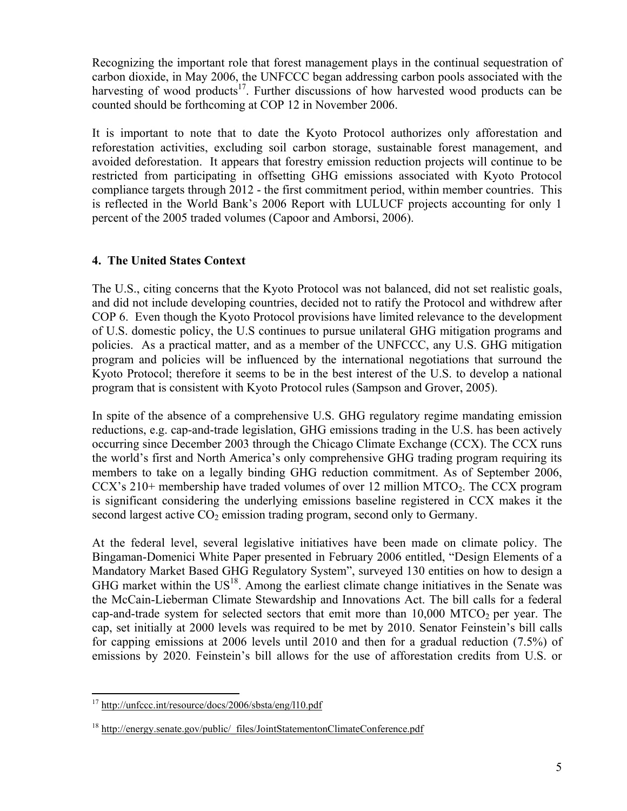Recognizing the important role that forest management plays in the continual sequestration of carbon dioxide, in May 2006, the UNFCCC began addressing carbon pools associated with the harvesting of wood products<sup>17</sup>. Further discussions of how harvested wood products can be counted should be forthcoming at COP 12 in November 2006.

It is important to note that to date the Kyoto Protocol authorizes only afforestation and reforestation activities, excluding soil carbon storage, sustainable forest management, and avoided deforestation. It appears that forestry emission reduction projects will continue to be restricted from participating in offsetting GHG emissions associated with Kyoto Protocol compliance targets through 2012 - the first commitment period, within member countries. This is reflected in the World Bank's 2006 Report with LULUCF projects accounting for only 1 percent of the 2005 traded volumes (Capoor and Amborsi, 2006).

## **4. The United States Context**

The U.S., citing concerns that the Kyoto Protocol was not balanced, did not set realistic goals, and did not include developing countries, decided not to ratify the Protocol and withdrew after COP 6. Even though the Kyoto Protocol provisions have limited relevance to the development of U.S. domestic policy, the U.S continues to pursue unilateral GHG mitigation programs and policies. As a practical matter, and as a member of the UNFCCC, any U.S. GHG mitigation program and policies will be influenced by the international negotiations that surround the Kyoto Protocol; therefore it seems to be in the best interest of the U.S. to develop a national program that is consistent with Kyoto Protocol rules (Sampson and Grover, 2005).

In spite of the absence of a comprehensive U.S. GHG regulatory regime mandating emission reductions, e.g. cap-and-trade legislation, GHG emissions trading in the U.S. has been actively occurring since December 2003 through the Chicago Climate Exchange (CCX). The CCX runs the world's first and North America's only comprehensive GHG trading program requiring its members to take on a legally binding GHG reduction commitment. As of September 2006,  $CCX$ 's 210+ membership have traded volumes of over 12 million MTCO<sub>2</sub>. The CCX program is significant considering the underlying emissions baseline registered in CCX makes it the second largest active  $CO<sub>2</sub>$  emission trading program, second only to Germany.

At the federal level, several legislative initiatives have been made on climate policy. The Bingaman-Domenici White Paper presented in February 2006 entitled, "Design Elements of a Mandatory Market Based GHG Regulatory System", surveyed 130 entities on how to design a GHG market within the  $US^{18}$ . Among the earliest climate change initiatives in the Senate was the McCain-Lieberman Climate Stewardship and Innovations Act. The bill calls for a federal cap-and-trade system for selected sectors that emit more than  $10,000$  MTCO<sub>2</sub> per year. The cap, set initially at 2000 levels was required to be met by 2010. Senator Feinstein's bill calls for capping emissions at 2006 levels until 2010 and then for a gradual reduction (7.5%) of emissions by 2020. Feinstein's bill allows for the use of afforestation credits from U.S. or

 $\overline{a}$ <sup>17</sup> http://unfccc.int/resource/docs/2006/sbsta/eng/l10.pdf

<sup>&</sup>lt;sup>18</sup> http://energy.senate.gov/public/\_files/JointStatementonClimateConference.pdf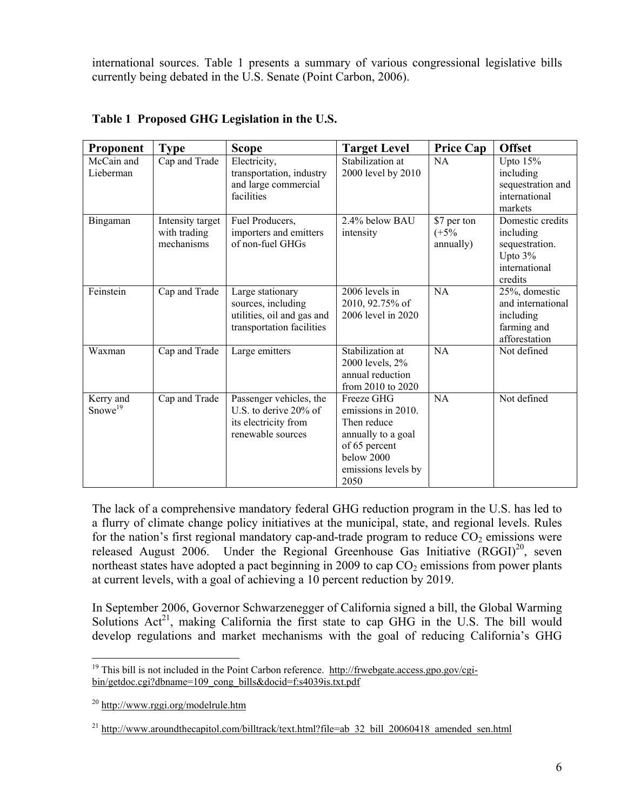international sources. Table 1 presents a summary of various congressional legislative bills currently being debated in the U.S. Senate (Point Carbon, 2006).

| Proponent                        | <b>Type</b>                                    | <b>Scope</b>                                                                                      | <b>Target Level</b>                                                                                                                 | <b>Price Cap</b>                   | <b>Offset</b>                                                                            |
|----------------------------------|------------------------------------------------|---------------------------------------------------------------------------------------------------|-------------------------------------------------------------------------------------------------------------------------------------|------------------------------------|------------------------------------------------------------------------------------------|
| McCain and<br>Lieberman          | Cap and Trade                                  | Electricity,<br>transportation, industry<br>and large commercial<br>facilities                    | Stabilization at<br>2000 level by 2010                                                                                              | <b>NA</b>                          | Upto $15%$<br>including<br>sequestration and<br>international<br>markets                 |
| Bingaman                         | Intensity target<br>with trading<br>mechanisms | Fuel Producers,<br>importers and emitters<br>of non-fuel GHGs                                     | 2.4% below BAU<br>intensity                                                                                                         | \$7 per ton<br>$(+5%$<br>annually) | Domestic credits<br>including<br>sequestration.<br>Upto $3%$<br>international<br>credits |
| Feinstein                        | Cap and Trade                                  | Large stationary<br>sources, including<br>utilities, oil and gas and<br>transportation facilities | 2006 levels in<br>2010, 92.75% of<br>2006 level in 2020                                                                             | NA                                 | 25%, domestic<br>and international<br>including<br>farming and<br>afforestation          |
| Waxman                           | Cap and Trade                                  | Large emitters                                                                                    | Stabilization at<br>2000 levels, 2%<br>annual reduction<br>from 2010 to 2020                                                        | NA                                 | Not defined                                                                              |
| Kerry and<br>Snowe <sup>19</sup> | Cap and Trade                                  | Passenger vehicles, the<br>U.S. to derive 20% of<br>its electricity from<br>renewable sources     | Freeze GHG<br>emissions in 2010.<br>Then reduce<br>annually to a goal<br>of 65 percent<br>below 2000<br>emissions levels by<br>2050 | NA                                 | Not defined                                                                              |

## **Table 1 Proposed GHG Legislation in the U.S.**

The lack of a comprehensive mandatory federal GHG reduction program in the U.S. has led to a flurry of climate change policy initiatives at the municipal, state, and regional levels. Rules for the nation's first regional mandatory cap-and-trade program to reduce  $CO<sub>2</sub>$  emissions were released August 2006. Under the Regional Greenhouse Gas Initiative  $(RGGI)^{20}$ , seven northeast states have adopted a pact beginning in 2009 to cap  $CO<sub>2</sub>$  emissions from power plants at current levels, with a goal of achieving a 10 percent reduction by 2019.

In September 2006, Governor Schwarzenegger of California signed a bill, the Global Warming Solutions  $Act^{21}$ , making California the first state to cap GHG in the U.S. The bill would develop regulations and market mechanisms with the goal of reducing California's GHG

 $\overline{a}$  $19$  This bill is not included in the Point Carbon reference. http://frwebgate.access.gpo.gov/cgibin/getdoc.cgi?dbname=109\_cong\_bills&docid=f:s4039is.txt.pdf

<sup>20</sup> http://www.rggi.org/modelrule.htm

<sup>&</sup>lt;sup>21</sup> http://www.aroundthecapitol.com/billtrack/text.html?file=ab\_32\_bill\_20060418\_amended\_sen.html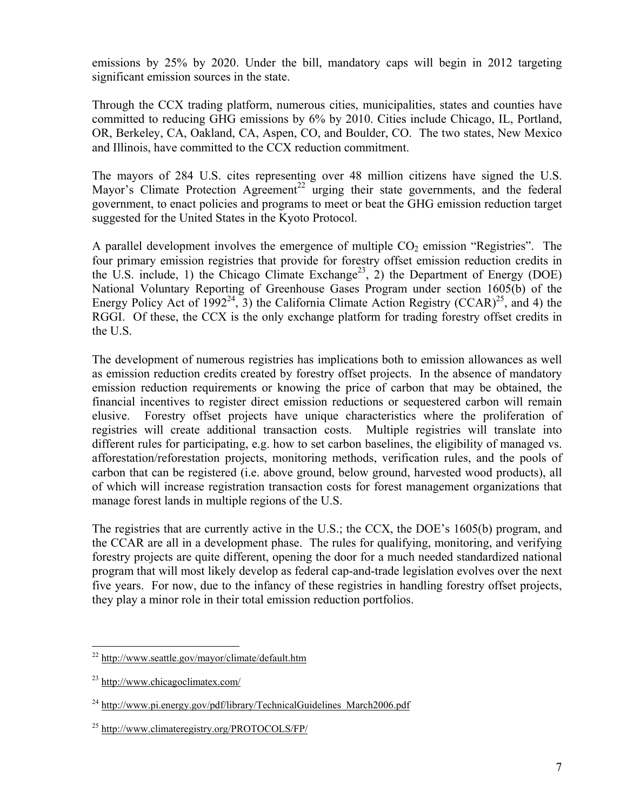emissions by 25% by 2020. Under the bill, mandatory caps will begin in 2012 targeting significant emission sources in the state.

Through the CCX trading platform, numerous cities, municipalities, states and counties have committed to reducing GHG emissions by 6% by 2010. Cities include Chicago, IL, Portland, OR, Berkeley, CA, Oakland, CA, Aspen, CO, and Boulder, CO. The two states, New Mexico and Illinois, have committed to the CCX reduction commitment.

The mayors of 284 U.S. cites representing over 48 million citizens have signed the U.S. Mayor's Climate Protection Agreement<sup>22</sup> urging their state governments, and the federal government, to enact policies and programs to meet or beat the GHG emission reduction target suggested for the United States in the Kyoto Protocol.

A parallel development involves the emergence of multiple  $CO<sub>2</sub>$  emission "Registries". The four primary emission registries that provide for forestry offset emission reduction credits in the U.S. include, 1) the Chicago Climate Exchange<sup>23</sup>, 2) the Department of Energy (DOE) National Voluntary Reporting of Greenhouse Gases Program under section 1605(b) of the Energy Policy Act of 1992<sup>24</sup>, 3) the California Climate Action Registry (CCAR)<sup>25</sup>, and 4) the RGGI. Of these, the CCX is the only exchange platform for trading forestry offset credits in the U.S.

The development of numerous registries has implications both to emission allowances as well as emission reduction credits created by forestry offset projects. In the absence of mandatory emission reduction requirements or knowing the price of carbon that may be obtained, the financial incentives to register direct emission reductions or sequestered carbon will remain elusive. Forestry offset projects have unique characteristics where the proliferation of registries will create additional transaction costs. Multiple registries will translate into different rules for participating, e.g. how to set carbon baselines, the eligibility of managed vs. afforestation/reforestation projects, monitoring methods, verification rules, and the pools of carbon that can be registered (i.e. above ground, below ground, harvested wood products), all of which will increase registration transaction costs for forest management organizations that manage forest lands in multiple regions of the U.S.

The registries that are currently active in the U.S.; the CCX, the DOE's 1605(b) program, and the CCAR are all in a development phase. The rules for qualifying, monitoring, and verifying forestry projects are quite different, opening the door for a much needed standardized national program that will most likely develop as federal cap-and-trade legislation evolves over the next five years. For now, due to the infancy of these registries in handling forestry offset projects, they play a minor role in their total emission reduction portfolios.

1

<sup>&</sup>lt;sup>22</sup> http://www.seattle.gov/mayor/climate/default.htm

<sup>23</sup> http://www.chicagoclimatex.com/

 $^{24}$  http://www.pi.energy.gov/pdf/library/TechnicalGuidelines\_March2006.pdf

<sup>25</sup> http://www.climateregistry.org/PROTOCOLS/FP/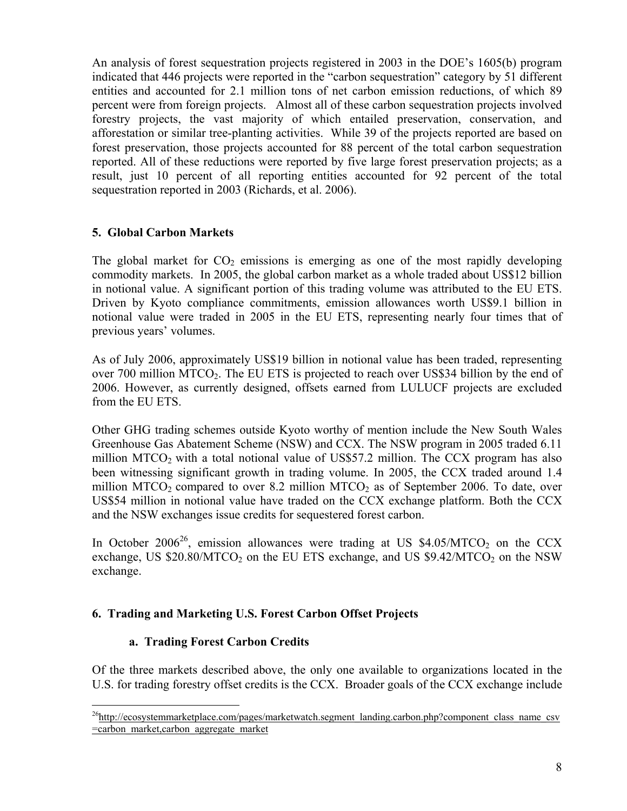An analysis of forest sequestration projects registered in 2003 in the DOE's 1605(b) program indicated that 446 projects were reported in the "carbon sequestration" category by 51 different entities and accounted for 2.1 million tons of net carbon emission reductions, of which 89 percent were from foreign projects. Almost all of these carbon sequestration projects involved forestry projects, the vast majority of which entailed preservation, conservation, and afforestation or similar tree-planting activities. While 39 of the projects reported are based on forest preservation, those projects accounted for 88 percent of the total carbon sequestration reported. All of these reductions were reported by five large forest preservation projects; as a result, just 10 percent of all reporting entities accounted for 92 percent of the total sequestration reported in 2003 (Richards, et al. 2006).

### **5. Global Carbon Markets**

The global market for  $CO<sub>2</sub>$  emissions is emerging as one of the most rapidly developing commodity markets. In 2005, the global carbon market as a whole traded about US\$12 billion in notional value. A significant portion of this trading volume was attributed to the EU ETS. Driven by Kyoto compliance commitments, emission allowances worth US\$9.1 billion in notional value were traded in 2005 in the EU ETS, representing nearly four times that of previous years' volumes.

As of July 2006, approximately US\$19 billion in notional value has been traded, representing over 700 million  $MTCO<sub>2</sub>$ . The EU ETS is projected to reach over US\$34 billion by the end of 2006. However, as currently designed, offsets earned from LULUCF projects are excluded from the EU ETS.

Other GHG trading schemes outside Kyoto worthy of mention include the New South Wales Greenhouse Gas Abatement Scheme (NSW) and CCX. The NSW program in 2005 traded 6.11 million MTCO<sub>2</sub> with a total notional value of US\$57.2 million. The CCX program has also been witnessing significant growth in trading volume. In 2005, the CCX traded around 1.4 million MTCO<sub>2</sub> compared to over 8.2 million MTCO<sub>2</sub> as of September 2006. To date, over US\$54 million in notional value have traded on the CCX exchange platform. Both the CCX and the NSW exchanges issue credits for sequestered forest carbon.

In October 2006<sup>26</sup>, emission allowances were trading at US \$4.05/MTCO<sub>2</sub> on the CCX exchange, US  $$20.80/MTCO<sub>2</sub>$  on the EU ETS exchange, and US  $$9.42/MTCO<sub>2</sub>$  on the NSW exchange.

## **6. Trading and Marketing U.S. Forest Carbon Offset Projects**

### **a. Trading Forest Carbon Credits**

 $\overline{a}$ 

Of the three markets described above, the only one available to organizations located in the U.S. for trading forestry offset credits is the CCX. Broader goals of the CCX exchange include

<sup>&</sup>lt;sup>26</sup>http://ecosystemmarketplace.com/pages/marketwatch.segment\_landing.carbon.php?component\_class\_name\_csv =carbon\_market,carbon\_aggregate\_market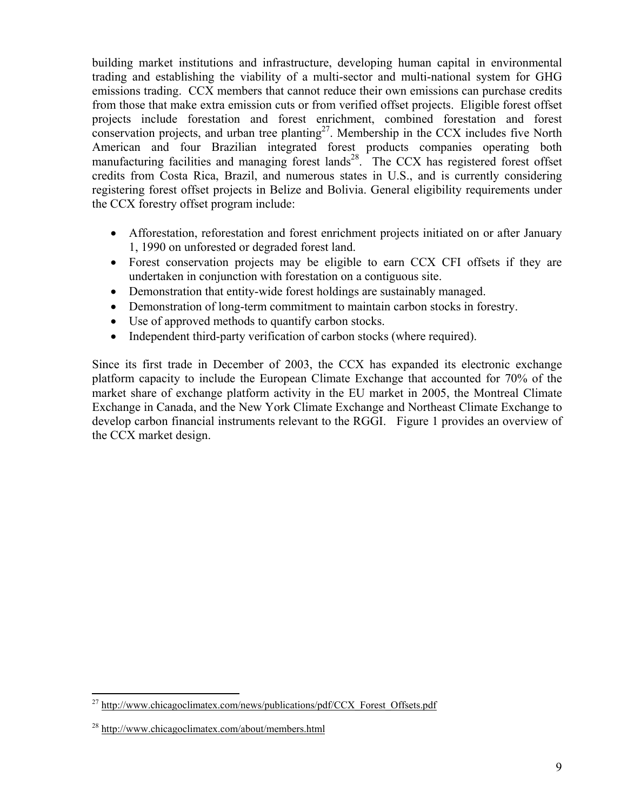building market institutions and infrastructure, developing human capital in environmental trading and establishing the viability of a multi-sector and multi-national system for GHG emissions trading. CCX members that cannot reduce their own emissions can purchase credits from those that make extra emission cuts or from verified offset projects. Eligible forest offset projects include forestation and forest enrichment, combined forestation and forest conservation projects, and urban tree planting<sup>27</sup>. Membership in the CCX includes five North American and four Brazilian integrated forest products companies operating both manufacturing facilities and managing forest lands<sup>28</sup>. The CCX has registered forest offset credits from Costa Rica, Brazil, and numerous states in U.S., and is currently considering registering forest offset projects in Belize and Bolivia. General eligibility requirements under the CCX forestry offset program include:

- Afforestation, reforestation and forest enrichment projects initiated on or after January 1, 1990 on unforested or degraded forest land.
- Forest conservation projects may be eligible to earn CCX CFI offsets if they are undertaken in conjunction with forestation on a contiguous site.
- Demonstration that entity-wide forest holdings are sustainably managed.
- Demonstration of long-term commitment to maintain carbon stocks in forestry.
- Use of approved methods to quantify carbon stocks.
- Independent third-party verification of carbon stocks (where required).

Since its first trade in December of 2003, the CCX has expanded its electronic exchange platform capacity to include the European Climate Exchange that accounted for 70% of the market share of exchange platform activity in the EU market in 2005, the Montreal Climate Exchange in Canada, and the New York Climate Exchange and Northeast Climate Exchange to develop carbon financial instruments relevant to the RGGI. Figure 1 provides an overview of the CCX market design.

 $\overline{a}$ <sup>27</sup> http://www.chicagoclimatex.com/news/publications/pdf/CCX\_Forest\_Offsets.pdf

<sup>28</sup> http://www.chicagoclimatex.com/about/members.html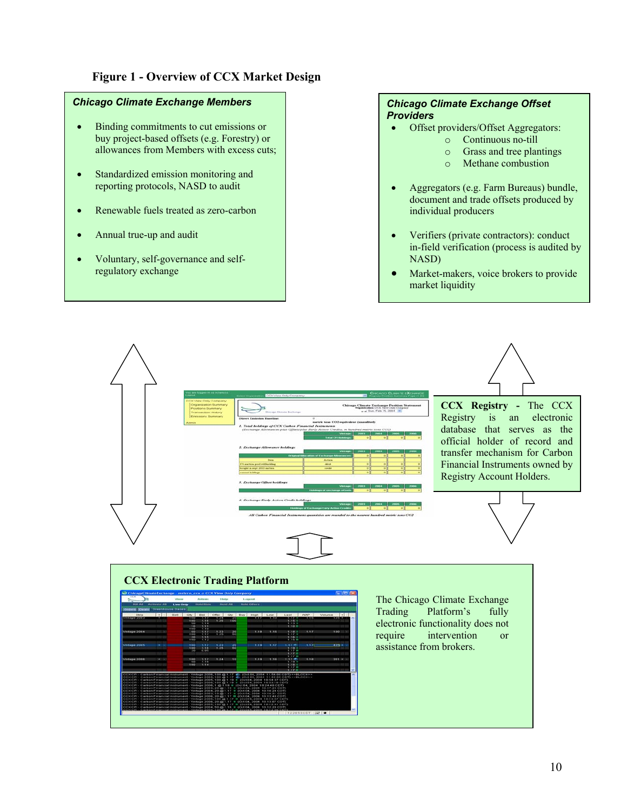### **Figure 1 - Overview of CCX Market Design**

#### *Chicago Climate Exchange Members*

- Binding commitments to cut emissions or buy project-based offsets (e.g. Forestry) or allowances from Members with excess cuts;
- Standardized emission monitoring and reporting protocols, NASD to audit
- Renewable fuels treated as zero-carbon
- Annual true-up and audit
- Voluntary, self-governance and selfregulatory exchange

#### *Chicago Climate Exchange Offset Providers*

- Offset providers/Offset Aggregators:
	- o Continuous no-till
	- o Grass and tree plantings
	- o Methane combustion
- x Aggregators (e.g. Farm Bureaus) bundle, document and trade offsets produced by individual producers
- x Verifiers (private contractors): conduct in-field verification (process is audited by NASD)
- Market-makers, voice brokers to provide market liquidity

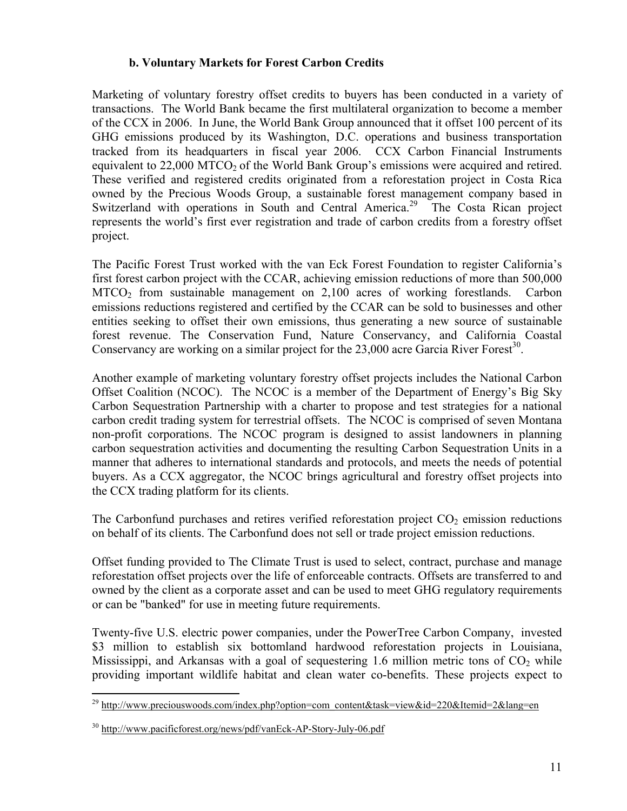### **b. Voluntary Markets for Forest Carbon Credits**

Marketing of voluntary forestry offset credits to buyers has been conducted in a variety of transactions. The World Bank became the first multilateral organization to become a member of the CCX in 2006. In June, the World Bank Group announced that it offset 100 percent of its GHG emissions produced by its Washington, D.C. operations and business transportation tracked from its headquarters in fiscal year 2006. CCX Carbon Financial Instruments equivalent to  $22,000$  MTCO<sub>2</sub> of the World Bank Group's emissions were acquired and retired. These verified and registered credits originated from a reforestation project in Costa Rica owned by the Precious Woods Group, a sustainable forest management company based in Switzerland with operations in South and Central America.<sup>29</sup> The Costa Rican project represents the world's first ever registration and trade of carbon credits from a forestry offset project.

The Pacific Forest Trust worked with the van Eck Forest Foundation to register California's first forest carbon project with the CCAR, achieving emission reductions of more than 500,000 MTCO2 from sustainable management on 2,100 acres of working forestlands. Carbon emissions reductions registered and certified by the CCAR can be sold to businesses and other entities seeking to offset their own emissions, thus generating a new source of sustainable forest revenue. The Conservation Fund, Nature Conservancy, and California Coastal Conservancy are working on a similar project for the  $23,000$  acre Garcia River Forest<sup>30</sup>.

Another example of marketing voluntary forestry offset projects includes the National Carbon Offset Coalition (NCOC). The NCOC is a member of the Department of Energy's Big Sky Carbon Sequestration Partnership with a charter to propose and test strategies for a national carbon credit trading system for terrestrial offsets. The NCOC is comprised of seven Montana non-profit corporations. The NCOC program is designed to assist landowners in planning carbon sequestration activities and documenting the resulting Carbon Sequestration Units in a manner that adheres to international standards and protocols, and meets the needs of potential buyers. As a CCX aggregator, the NCOC brings agricultural and forestry offset projects into the CCX trading platform for its clients.

The Carbonfund purchases and retires verified reforestation project  $CO<sub>2</sub>$  emission reductions on behalf of its clients. The Carbonfund does not sell or trade project emission reductions.

Offset funding provided to The Climate Trust is used to select, contract, purchase and manage reforestation offset projects over the life of enforceable contracts. Offsets are transferred to and owned by the client as a corporate asset and can be used to meet GHG regulatory requirements or can be "banked" for use in meeting future requirements.

Twenty-five U.S. electric power companies, under the PowerTree Carbon Company, invested \$3 million to establish six bottomland hardwood reforestation projects in Louisiana, Mississippi, and Arkansas with a goal of sequestering 1.6 million metric tons of  $CO<sub>2</sub>$  while providing important wildlife habitat and clean water co-benefits. These projects expect to

<sup>&</sup>lt;u>.</u> <sup>29</sup> http://www.preciouswoods.com/index.php?option=com\_content&task=view&id=220&Itemid=2&lang=en

<sup>30</sup> http://www.pacificforest.org/news/pdf/vanEck-AP-Story-July-06.pdf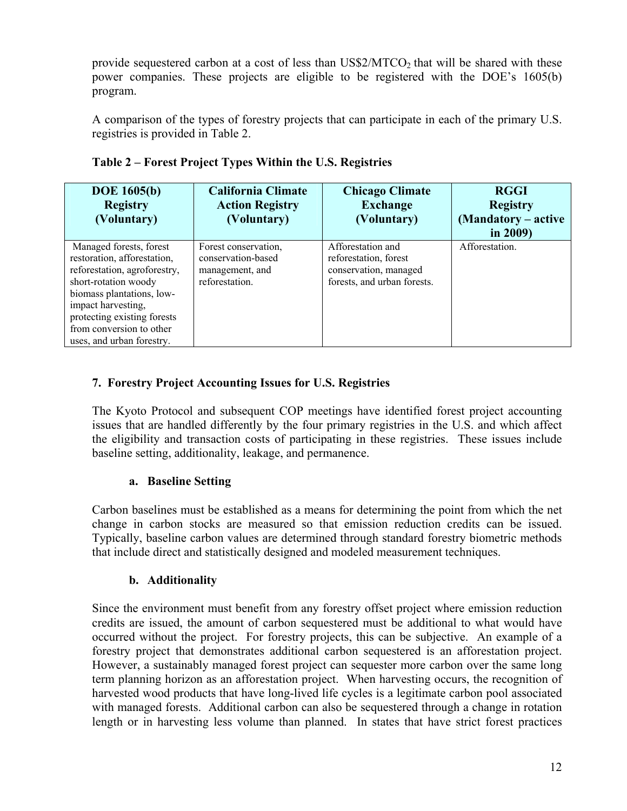provide sequestered carbon at a cost of less than  $\text{US$2/MTCO}_2$  that will be shared with these power companies. These projects are eligible to be registered with the DOE's 1605(b) program.

A comparison of the types of forestry projects that can participate in each of the primary U.S. registries is provided in Table 2.

| <b>DOE 1605(b)</b><br><b>Registry</b><br>(Voluntary)                                                                                                                                                                                                      | <b>California Climate</b><br><b>Action Registry</b><br>(Voluntary)              | <b>Chicago Climate</b><br><b>Exchange</b><br>(Voluntary)                                           | <b>RGGI</b><br><b>Registry</b><br>(Mandatory – active<br>in $2009$ ) |
|-----------------------------------------------------------------------------------------------------------------------------------------------------------------------------------------------------------------------------------------------------------|---------------------------------------------------------------------------------|----------------------------------------------------------------------------------------------------|----------------------------------------------------------------------|
| Managed forests, forest<br>restoration, afforestation,<br>reforestation, agroforestry,<br>short-rotation woody<br>biomass plantations, low-<br>impact harvesting,<br>protecting existing forests<br>from conversion to other<br>uses, and urban forestry. | Forest conservation.<br>conservation-based<br>management, and<br>reforestation. | Afforestation and<br>reforestation, forest<br>conservation, managed<br>forests, and urban forests. | Afforestation.                                                       |

**Table 2 – Forest Project Types Within the U.S. Registries** 

## **7. Forestry Project Accounting Issues for U.S. Registries**

The Kyoto Protocol and subsequent COP meetings have identified forest project accounting issues that are handled differently by the four primary registries in the U.S. and which affect the eligibility and transaction costs of participating in these registries. These issues include baseline setting, additionality, leakage, and permanence.

## **a. Baseline Setting**

Carbon baselines must be established as a means for determining the point from which the net change in carbon stocks are measured so that emission reduction credits can be issued. Typically, baseline carbon values are determined through standard forestry biometric methods that include direct and statistically designed and modeled measurement techniques.

## **b. Additionality**

Since the environment must benefit from any forestry offset project where emission reduction credits are issued, the amount of carbon sequestered must be additional to what would have occurred without the project. For forestry projects, this can be subjective. An example of a forestry project that demonstrates additional carbon sequestered is an afforestation project. However, a sustainably managed forest project can sequester more carbon over the same long term planning horizon as an afforestation project. When harvesting occurs, the recognition of harvested wood products that have long-lived life cycles is a legitimate carbon pool associated with managed forests. Additional carbon can also be sequestered through a change in rotation length or in harvesting less volume than planned. In states that have strict forest practices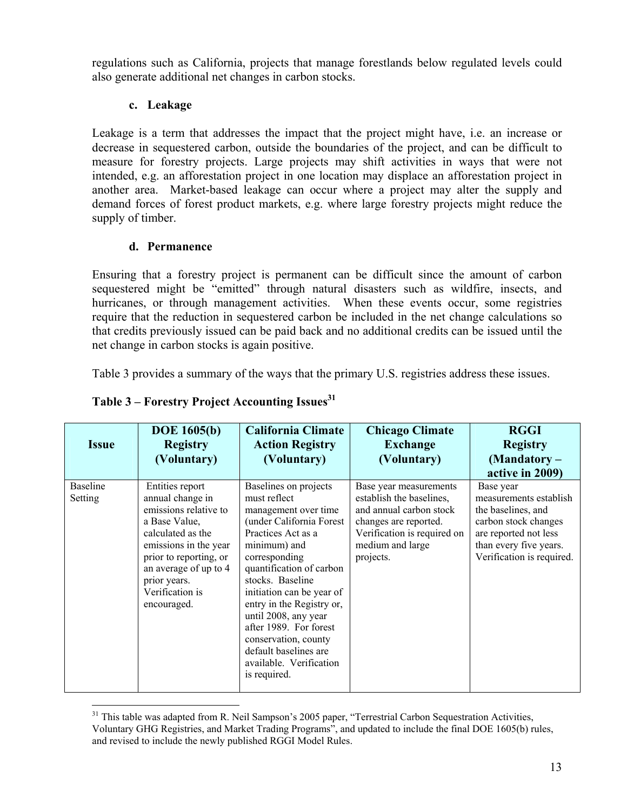regulations such as California, projects that manage forestlands below regulated levels could also generate additional net changes in carbon stocks.

## **c. Leakage**

Leakage is a term that addresses the impact that the project might have, i.e. an increase or decrease in sequestered carbon, outside the boundaries of the project, and can be difficult to measure for forestry projects. Large projects may shift activities in ways that were not intended, e.g. an afforestation project in one location may displace an afforestation project in another area. Market-based leakage can occur where a project may alter the supply and demand forces of forest product markets, e.g. where large forestry projects might reduce the supply of timber.

## **d. Permanence**

Ensuring that a forestry project is permanent can be difficult since the amount of carbon sequestered might be "emitted" through natural disasters such as wildfire, insects, and hurricanes, or through management activities. When these events occur, some registries require that the reduction in sequestered carbon be included in the net change calculations so that credits previously issued can be paid back and no additional credits can be issued until the net change in carbon stocks is again positive.

Table 3 provides a summary of the ways that the primary U.S. registries address these issues.

| <b>Issue</b>               | <b>DOE 1605(b)</b><br><b>Registry</b><br>(Voluntary)                                                                                                                                                                             | <b>California Climate</b><br><b>Action Registry</b><br>(Voluntary)                                                                                                                                                                                                                                                                                                                                       | <b>Chicago Climate</b><br><b>Exchange</b><br>(Voluntary)                                                                                                               | <b>RGGI</b><br><b>Registry</b><br>(Mandatory –<br>active in 2009)                                                                                                 |
|----------------------------|----------------------------------------------------------------------------------------------------------------------------------------------------------------------------------------------------------------------------------|----------------------------------------------------------------------------------------------------------------------------------------------------------------------------------------------------------------------------------------------------------------------------------------------------------------------------------------------------------------------------------------------------------|------------------------------------------------------------------------------------------------------------------------------------------------------------------------|-------------------------------------------------------------------------------------------------------------------------------------------------------------------|
| <b>Baseline</b><br>Setting | Entities report<br>annual change in<br>emissions relative to<br>a Base Value,<br>calculated as the<br>emissions in the year<br>prior to reporting, or<br>an average of up to 4<br>prior years.<br>Verification is<br>encouraged. | Baselines on projects<br>must reflect<br>management over time<br>(under California Forest<br>Practices Act as a<br>minimum) and<br>corresponding<br>quantification of carbon<br>stocks. Baseline<br>initiation can be year of<br>entry in the Registry or,<br>until 2008, any year<br>after 1989. For forest<br>conservation, county<br>default baselines are<br>available. Verification<br>is required. | Base year measurements<br>establish the baselines,<br>and annual carbon stock<br>changes are reported.<br>Verification is required on<br>medium and large<br>projects. | Base year<br>measurements establish<br>the baselines, and<br>carbon stock changes<br>are reported not less<br>than every five years.<br>Verification is required. |

# Table 3 – Forestry Project Accounting Issues<sup>31</sup>

 $\overline{a}$  $31$  This table was adapted from R. Neil Sampson's 2005 paper, "Terrestrial Carbon Sequestration Activities, Voluntary GHG Registries, and Market Trading Programs", and updated to include the final DOE 1605(b) rules, and revised to include the newly published RGGI Model Rules.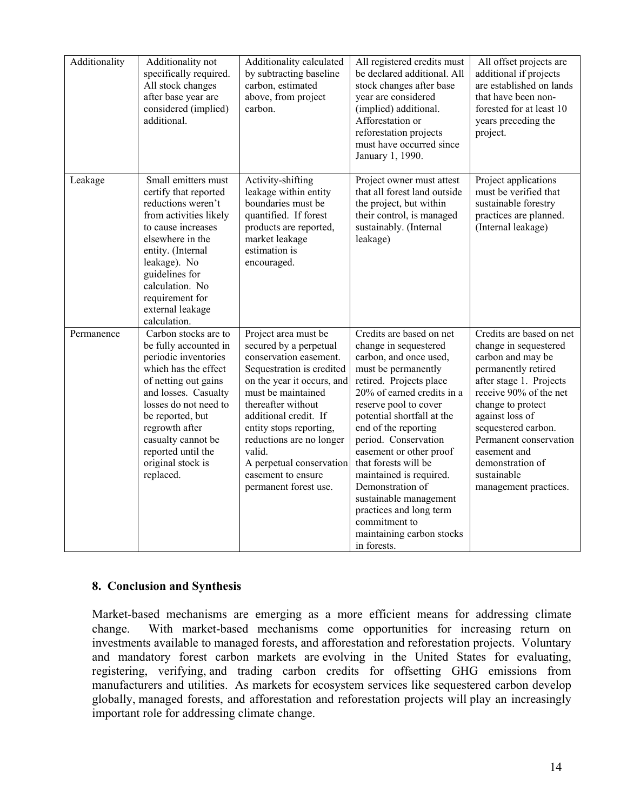| Additionality | Additionality not<br>specifically required.<br>All stock changes<br>after base year are<br>considered (implied)<br>additional.                                                                                                                                                             | Additionality calculated<br>by subtracting baseline<br>carbon, estimated<br>above, from project<br>carbon.                                                                                                                                                                                                                                           | All registered credits must<br>be declared additional. All<br>stock changes after base<br>year are considered<br>(implied) additional.<br>Afforestation or<br>reforestation projects<br>must have occurred since<br>January 1, 1990.                                                                                                                                                                                                                                                   | All offset projects are<br>additional if projects<br>are established on lands<br>that have been non-<br>forested for at least 10<br>years preceding the<br>project.                                                                                                                                                     |
|---------------|--------------------------------------------------------------------------------------------------------------------------------------------------------------------------------------------------------------------------------------------------------------------------------------------|------------------------------------------------------------------------------------------------------------------------------------------------------------------------------------------------------------------------------------------------------------------------------------------------------------------------------------------------------|----------------------------------------------------------------------------------------------------------------------------------------------------------------------------------------------------------------------------------------------------------------------------------------------------------------------------------------------------------------------------------------------------------------------------------------------------------------------------------------|-------------------------------------------------------------------------------------------------------------------------------------------------------------------------------------------------------------------------------------------------------------------------------------------------------------------------|
| Leakage       | Small emitters must<br>certify that reported<br>reductions weren't<br>from activities likely<br>to cause increases<br>elsewhere in the<br>entity. (Internal<br>leakage). No<br>guidelines for<br>calculation. No<br>requirement for<br>external leakage<br>calculation.                    | Activity-shifting<br>leakage within entity<br>boundaries must be<br>quantified. If forest<br>products are reported,<br>market leakage<br>estimation is<br>encouraged.                                                                                                                                                                                | Project owner must attest<br>that all forest land outside<br>the project, but within<br>their control, is managed<br>sustainably. (Internal<br>leakage)                                                                                                                                                                                                                                                                                                                                | Project applications<br>must be verified that<br>sustainable forestry<br>practices are planned.<br>(Internal leakage)                                                                                                                                                                                                   |
| Permanence    | Carbon stocks are to<br>be fully accounted in<br>periodic inventories<br>which has the effect<br>of netting out gains<br>and losses. Casualty<br>losses do not need to<br>be reported, but<br>regrowth after<br>casualty cannot be<br>reported until the<br>original stock is<br>replaced. | Project area must be<br>secured by a perpetual<br>conservation easement.<br>Sequestration is credited<br>on the year it occurs, and<br>must be maintained<br>thereafter without<br>additional credit. If<br>entity stops reporting,<br>reductions are no longer<br>valid.<br>A perpetual conservation<br>easement to ensure<br>permanent forest use. | Credits are based on net<br>change in sequestered<br>carbon, and once used,<br>must be permanently<br>retired. Projects place<br>20% of earned credits in a<br>reserve pool to cover<br>potential shortfall at the<br>end of the reporting<br>period. Conservation<br>easement or other proof<br>that forests will be<br>maintained is required.<br>Demonstration of<br>sustainable management<br>practices and long term<br>commitment to<br>maintaining carbon stocks<br>in forests. | Credits are based on net<br>change in sequestered<br>carbon and may be<br>permanently retired<br>after stage 1. Projects<br>receive 90% of the net<br>change to protect<br>against loss of<br>sequestered carbon.<br>Permanent conservation<br>easement and<br>demonstration of<br>sustainable<br>management practices. |

### **8. Conclusion and Synthesis**

Market-based mechanisms are emerging as a more efficient means for addressing climate change. With market-based mechanisms come opportunities for increasing return on investments available to managed forests, and afforestation and reforestation projects. Voluntary and mandatory forest carbon markets are evolving in the United States for evaluating, registering, verifying, and trading carbon credits for offsetting GHG emissions from manufacturers and utilities. As markets for ecosystem services like sequestered carbon develop globally, managed forests, and afforestation and reforestation projects will play an increasingly important role for addressing climate change.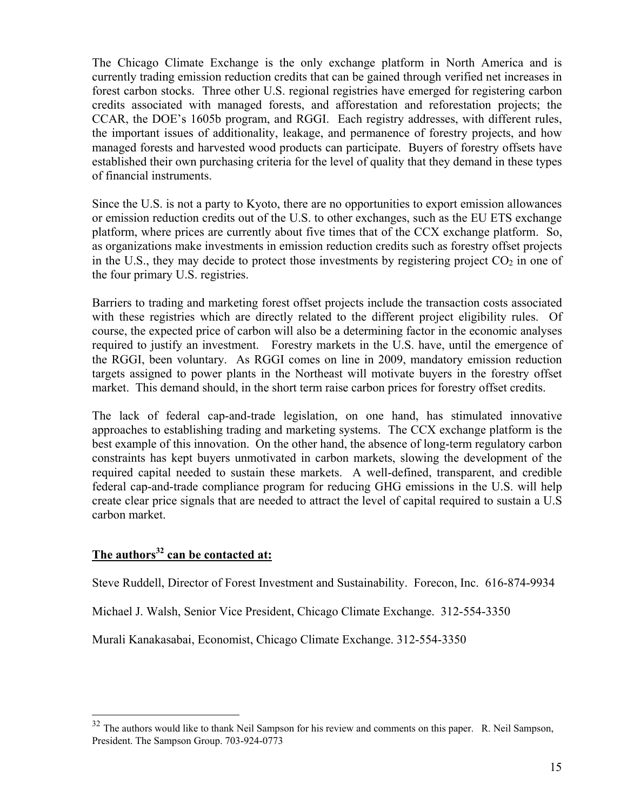The Chicago Climate Exchange is the only exchange platform in North America and is currently trading emission reduction credits that can be gained through verified net increases in forest carbon stocks. Three other U.S. regional registries have emerged for registering carbon credits associated with managed forests, and afforestation and reforestation projects; the CCAR, the DOE's 1605b program, and RGGI. Each registry addresses, with different rules, the important issues of additionality, leakage, and permanence of forestry projects, and how managed forests and harvested wood products can participate. Buyers of forestry offsets have established their own purchasing criteria for the level of quality that they demand in these types of financial instruments.

Since the U.S. is not a party to Kyoto, there are no opportunities to export emission allowances or emission reduction credits out of the U.S. to other exchanges, such as the EU ETS exchange platform, where prices are currently about five times that of the CCX exchange platform. So, as organizations make investments in emission reduction credits such as forestry offset projects in the U.S., they may decide to protect those investments by registering project  $CO<sub>2</sub>$  in one of the four primary U.S. registries.

Barriers to trading and marketing forest offset projects include the transaction costs associated with these registries which are directly related to the different project eligibility rules. Of course, the expected price of carbon will also be a determining factor in the economic analyses required to justify an investment. Forestry markets in the U.S. have, until the emergence of the RGGI, been voluntary. As RGGI comes on line in 2009, mandatory emission reduction targets assigned to power plants in the Northeast will motivate buyers in the forestry offset market. This demand should, in the short term raise carbon prices for forestry offset credits.

The lack of federal cap-and-trade legislation, on one hand, has stimulated innovative approaches to establishing trading and marketing systems. The CCX exchange platform is the best example of this innovation. On the other hand, the absence of long-term regulatory carbon constraints has kept buyers unmotivated in carbon markets, slowing the development of the required capital needed to sustain these markets. A well-defined, transparent, and credible federal cap-and-trade compliance program for reducing GHG emissions in the U.S. will help create clear price signals that are needed to attract the level of capital required to sustain a U.S carbon market.

# The authors<sup>32</sup> can be contacted at:

 $\overline{a}$ 

Steve Ruddell, Director of Forest Investment and Sustainability. Forecon, Inc. 616-874-9934

Michael J. Walsh, Senior Vice President, Chicago Climate Exchange. 312-554-3350

Murali Kanakasabai, Economist, Chicago Climate Exchange. 312-554-3350

 $32$  The authors would like to thank Neil Sampson for his review and comments on this paper. R. Neil Sampson, President. The Sampson Group. 703-924-0773